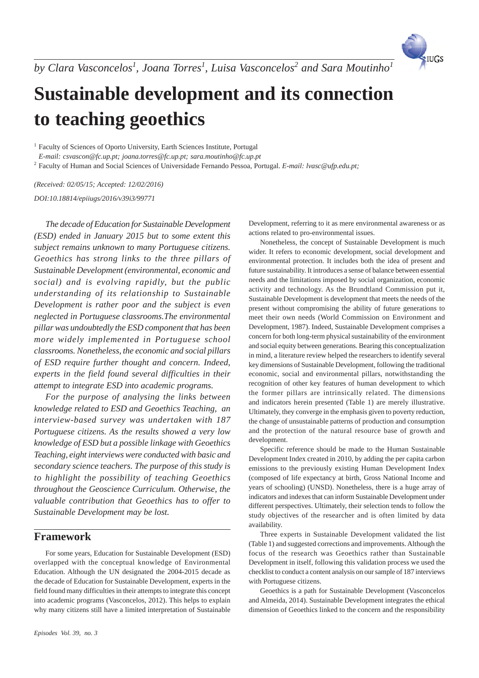

# **Sustainable development and its connection to teaching geoethics**

<sup>1</sup> Faculty of Sciences of Oporto University, Earth Sciences Institute, Portugal

*E-mail: csvascon@fc.up.pt; joana.torres@fc.up.pt; sara.moutinho@fc.up.pt*

<sup>2</sup> Faculty of Human and Social Sciences of Universidade Fernando Pessoa, Portugal. *E-mail: lvasc@ufp.edu.pt;*

*(Received: 02/05/15; Accepted: 12/02/2016) DOI:10.18814/epiiugs/2016/v39i3/99771*

*The decade of Education for Sustainable Development (ESD) ended in January 2015 but to some extent this subject remains unknown to many Portuguese citizens. Geoethics has strong links to the three pillars of Sustainable Development (environmental, economic and social) and is evolving rapidly, but the public understanding of its relationship to Sustainable Development is rather poor and the subject is even neglected in Portuguese classrooms.The environmental pillar was undoubtedly the ESD component that has been more widely implemented in Portuguese school classrooms. Nonetheless, the economic and social pillars of ESD require further thought and concern. Indeed, experts in the field found several difficulties in their attempt to integrate ESD into academic programs.*

*For the purpose of analysing the links between knowledge related to ESD and Geoethics Teaching, an interview-based survey was undertaken with 187 Portuguese citizens. As the results showed a very low knowledge of ESD but a possible linkage with Geoethics Teaching, eight interviews were conducted with basic and secondary science teachers. The purpose of this study is to highlight the possibility of teaching Geoethics throughout the Geoscience Curriculum. Otherwise, the valuable contribution that Geoethics has to offer to Sustainable Development may be lost.*

## **Framework**

For some years, Education for Sustainable Development (ESD) overlapped with the conceptual knowledge of Environmental Education. Although the UN designated the 2004-2015 decade as the decade of Education for Sustainable Development, experts in the field found many difficulties in their attempts to integrate this concept into academic programs (Vasconcelos, 2012). This helps to explain why many citizens still have a limited interpretation of Sustainable Development, referring to it as mere environmental awareness or as actions related to pro-environmental issues.

Nonetheless, the concept of Sustainable Development is much wider. It refers to economic development, social development and environmental protection. It includes both the idea of present and future sustainability. It introduces a sense of balance between essential needs and the limitations imposed by social organization, economic activity and technology. As the Brundtland Commission put it, Sustainable Development is development that meets the needs of the present without compromising the ability of future generations to meet their own needs (World Commission on Environment and Development, 1987). Indeed, Sustainable Development comprises a concern for both long-term physical sustainability of the environment and social equity between generations. Bearing this conceptualization in mind, a literature review helped the researchers to identify several key dimensions of Sustainable Development, following the traditional economic, social and environmental pillars, notwithstanding the recognition of other key features of human development to which the former pillars are intrinsically related. The dimensions and indicators herein presented (Table 1) are merely illustrative. Ultimately, they converge in the emphasis given to poverty reduction, the change of unsustainable patterns of production and consumption and the protection of the natural resource base of growth and development.

Specific reference should be made to the Human Sustainable Development Index created in 2010, by adding the per capita carbon emissions to the previously existing Human Development Index (composed of life expectancy at birth, Gross National Income and years of schooling) (UNSD). Nonetheless, there is a huge array of indicators and indexes that can inform Sustainable Development under different perspectives. Ultimately, their selection tends to follow the study objectives of the researcher and is often limited by data availability.

Three experts in Sustainable Development validated the list (Table 1) and suggested corrections and improvements. Although the focus of the research was Geoethics rather than Sustainable Development in itself, following this validation process we used the checklist to conduct a content analysis on our sample of 187 interviews with Portuguese citizens.

Geoethics is a path for Sustainable Development (Vasconcelos and Almeida, 2014). Sustainable Development integrates the ethical dimension of Geoethics linked to the concern and the responsibility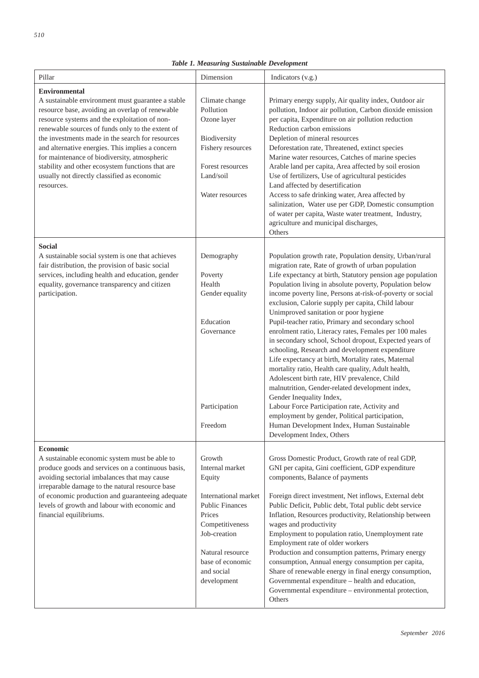| Pillar                                                                                                                                                                                                                                                                                                                                                                                                                                                                                                     | Dimension                                                                                                                                                                                               | Indicators (v.g.)                                                                                                                                                                                                                                                                                                                                                                                                                                                                                                                                                                                                                                                                                                                                                                                                                                                                                                                                                                                                                                         |
|------------------------------------------------------------------------------------------------------------------------------------------------------------------------------------------------------------------------------------------------------------------------------------------------------------------------------------------------------------------------------------------------------------------------------------------------------------------------------------------------------------|---------------------------------------------------------------------------------------------------------------------------------------------------------------------------------------------------------|-----------------------------------------------------------------------------------------------------------------------------------------------------------------------------------------------------------------------------------------------------------------------------------------------------------------------------------------------------------------------------------------------------------------------------------------------------------------------------------------------------------------------------------------------------------------------------------------------------------------------------------------------------------------------------------------------------------------------------------------------------------------------------------------------------------------------------------------------------------------------------------------------------------------------------------------------------------------------------------------------------------------------------------------------------------|
| <b>Environmental</b><br>A sustainable environment must guarantee a stable<br>resource base, avoiding an overlap of renewable<br>resource systems and the exploitation of non-<br>renewable sources of funds only to the extent of<br>the investments made in the search for resources<br>and alternative energies. This implies a concern<br>for maintenance of biodiversity, atmospheric<br>stability and other ecosystem functions that are<br>usually not directly classified as economic<br>resources. | Climate change<br>Pollution<br>Ozone layer<br>Biodiversity<br>Fishery resources<br>Forest resources<br>Land/soil<br>Water resources                                                                     | Primary energy supply, Air quality index, Outdoor air<br>pollution, Indoor air pollution, Carbon dioxide emission<br>per capita, Expenditure on air pollution reduction<br>Reduction carbon emissions<br>Depletion of mineral resources<br>Deforestation rate, Threatened, extinct species<br>Marine water resources, Catches of marine species<br>Arable land per capita, Area affected by soil erosion<br>Use of fertilizers, Use of agricultural pesticides<br>Land affected by desertification<br>Access to safe drinking water, Area affected by<br>salinization, Water use per GDP, Domestic consumption<br>of water per capita, Waste water treatment, Industry,<br>agriculture and municipal discharges,<br>Others                                                                                                                                                                                                                                                                                                                                |
| <b>Social</b><br>A sustainable social system is one that achieves<br>fair distribution, the provision of basic social<br>services, including health and education, gender<br>equality, governance transparency and citizen<br>participation.                                                                                                                                                                                                                                                               | Demography<br>Poverty<br>Health<br>Gender equality<br>Education<br>Governance<br>Participation<br>Freedom                                                                                               | Population growth rate, Population density, Urban/rural<br>migration rate, Rate of growth of urban population<br>Life expectancy at birth, Statutory pension age population<br>Population living in absolute poverty, Population below<br>income poverty line, Persons at-risk-of-poverty or social<br>exclusion, Calorie supply per capita, Child labour<br>Unimproved sanitation or poor hygiene<br>Pupil-teacher ratio, Primary and secondary school<br>enrolment ratio, Literacy rates, Females per 100 males<br>in secondary school, School dropout, Expected years of<br>schooling, Research and development expenditure<br>Life expectancy at birth, Mortality rates, Maternal<br>mortality ratio, Health care quality, Adult health,<br>Adolescent birth rate, HIV prevalence, Child<br>malnutrition, Gender-related development index,<br>Gender Inequality Index,<br>Labour Force Participation rate, Activity and<br>employment by gender, Political participation,<br>Human Development Index, Human Sustainable<br>Development Index, Others |
| Economic<br>A sustainable economic system must be able to<br>produce goods and services on a continuous basis,<br>avoiding sectorial imbalances that may cause<br>irreparable damage to the natural resource base<br>of economic production and guaranteeing adequate<br>levels of growth and labour with economic and<br>financial equilibriums.                                                                                                                                                          | Growth<br>Internal market<br>Equity<br>International market<br><b>Public Finances</b><br>Prices<br>Competitiveness<br>Job-creation<br>Natural resource<br>base of economic<br>and social<br>development | Gross Domestic Product, Growth rate of real GDP,<br>GNI per capita, Gini coefficient, GDP expenditure<br>components, Balance of payments<br>Foreign direct investment, Net inflows, External debt<br>Public Deficit, Public debt, Total public debt service<br>Inflation, Resources productivity, Relationship between<br>wages and productivity<br>Employment to population ratio, Unemployment rate<br>Employment rate of older workers<br>Production and consumption patterns, Primary energy<br>consumption, Annual energy consumption per capita,<br>Share of renewable energy in final energy consumption,<br>Governmental expenditure - health and education,<br>Governmental expenditure - environmental protection,<br>Others                                                                                                                                                                                                                                                                                                                    |

## *Table 1. Measuring Sustainable Development*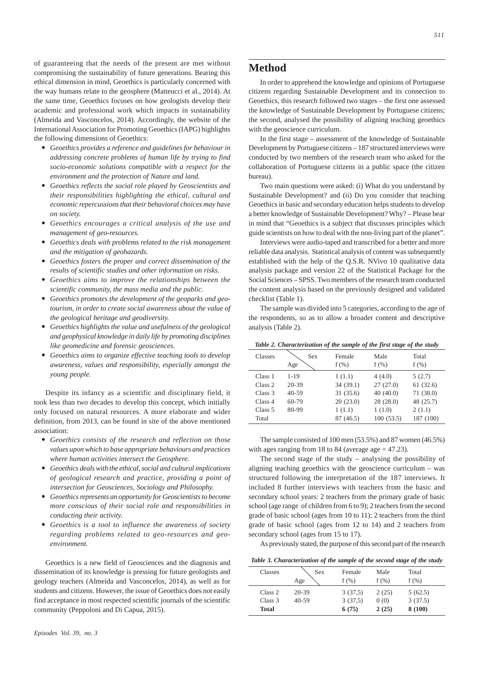of guaranteeing that the needs of the present are met without compromising the sustainability of future generations. Bearing this ethical dimension in mind, Geoethics is particularly concerned with the way humans relate to the geosphere (Matteucci et al., 2014). At the same time, Geoethics focuses on how geologists develop their academic and professional work which impacts in sustainability (Almeida and Vasconcelos, 2014). Accordingly, the website of the International Association for Promoting Geoethics (IAPG) highlights the following dimensions of Geoethics:

- ó *Geoethics provides a reference and guidelines for behaviour in addressing concrete problems of human life by trying to find socio-economic solutions compatible with a respect for the environment and the protection of Nature and land.*
- ó *Geoethics reflects the social role played by Geoscientists and their responsibilities highlighting the ethical, cultural and economic repercussions that their behavioral choices may have on society.*
- ó *Geoethics encourages a critical analysis of the use and management of geo-resources.*
- ó *Geoethics deals with problems related to the risk management and the mitigation of geohazards.*
- ó *Geoethics fosters the proper and correct dissemination of the results of scientific studies and other information on risks.*
- ó *Geoethics aims to improve the relationships between the scientific community, the mass media and the public.*
- ó *Geoethics promotes the development of the geoparks and geotourism, in order to create social awareness about the value of the geological heritage and geodiversity.*
- ó *Geoethics highlights the value and usefulness of the geological and geophysical knowledge in daily life by promoting disciplines like geomedicine and forensic geosciences.*
- ó *Geoethics aims to organize effective teaching tools to develop awareness, values and responsibility, especially amongst the young people.*

Despite its infancy as a scientific and disciplinary field, it took less than two decades to develop this concept, which initially only focused on natural resources. A more elaborate and wider definition, from 2013, can be found in site of the above mentioned association:

- ó *Geoethics consists of the research and reflection on those values upon which to base appropriate behaviours and practices where human activities intersect the Geosphere.*
- ó *Geoethics deals with the ethical, social and cultural implications of geological research and practice, providing a point of intersection for Geosciences, Sociology and Philosophy.*
- ó *Geoethics represents an opportunity for Geoscientists to become more conscious of their social role and responsibilities in conducting their activity.*
- ó *Geoethics is a tool to influence the awareness of society regarding problems related to geo-resources and geoenvironment.*

Geoethics is a new field of Geosciences and the diagnosis and dissemination of its knowledge is pressing for future geologists and geology teachers (Almeida and Vasconcelos, 2014), as well as for students and citizens. However, the issue of Geoethics does not easily find acceptance in most respected scientific journals of the scientific community (Peppoloni and Di Capua, 2015).

## **Method**

In order to apprehend the knowledge and opinions of Portuguese citizens regarding Sustainable Development and its connection to Geoethics, this research followed two stages – the first one assessed the knowledge of Sustainable Development by Portuguese citizens; the second, analysed the possibility of aligning teaching geoethics with the geoscience curriculum.

In the first stage – assessment of the knowledge of Sustainable Development by Portuguese citizens – 187 structured interviews were conducted by two members of the research team who asked for the collaboration of Portuguese citizens in a public space (the citizen bureau).

Two main questions were asked: (i) What do you understand by Sustainable Development? and (ii) Do you consider that teaching Geoethics in basic and secondary education helps students to develop a better knowledge of Sustainable Development? Why? – Please bear in mind that "Geoethics is a subject that discusses principles which guide scientists on how to deal with the non-living part of the planet".

Interviews were audio-taped and transcribed for a better and more reliable data analysis. Statistical analysis of content was subsequently established with the help of the Q.S.R. NVivo 10 qualitative data analysis package and version 22 of the Statistical Package for the Social Sciences – SPSS. Two members of the research team conducted the content analysis based on the previously designed and validated checklist (Table 1).

The sample was divided into 5 categories, according to the age of the respondents, so as to allow a broader content and descriptive analysis (Table 2).

*Table 2. Characterization of the sample of the first stage of the study*

| Classes            | <b>Sex</b><br>Age | Female<br>$f(\%)$ | Male<br>f(%) | Total<br>f(%) |
|--------------------|-------------------|-------------------|--------------|---------------|
| Class 1            | $1 - 19$          | 1(1.1)            | 4(4.0)       | 5(2.7)        |
| Class <sub>2</sub> | $20 - 39$         | 34(39.1)          | 27(27.0)     | 61(32.6)      |
| Class 3            | $40 - 59$         | 31(35.6)          | 40(40.0)     | 71(38.0)      |
| Class 4            | $60 - 79$         | 20(23.0)          | 28(28.0)     | 48 (25.7)     |
| Class 5            | 80-99             | 1(1.1)            | 1(1.0)       | 2(1.1)        |
| Total              |                   | 87 (46.5)         | 100(53.5)    | 187 (100)     |

The sample consisted of 100 men (53.5%) and 87 women (46.5%) with ages ranging from 18 to 84 (average age  $= 47.23$ ).

The second stage of the study – analysing the possibility of aligning teaching geoethics with the geoscience curriculum – was structured following the interpretation of the 187 interviews. It included 8 further interviews with teachers from the basic and secondary school years: 2 teachers from the primary grade of basic school (age range of children from 6 to 9); 2 teachers from the second grade of basic school (ages from 10 to 11); 2 teachers from the third grade of basic school (ages from 12 to 14) and 2 teachers from secondary school (ages from 15 to 17).

As previously stated, the purpose of this second part of the research

*Table 3. Characterization of the sample of the second stage of the study*

| Classes | <b>Sex</b> | Female  | Male  | Total   |
|---------|------------|---------|-------|---------|
|         | Age        | f(%)    | f(%)  | f(%)    |
| Class 2 | $20 - 39$  | 3(37.5) | 2(25) | 5(62.5) |
| Class 3 | $40 - 59$  | 3(37,5) | 0(0)  | 3(37.5) |
| Total   |            | 6(75)   | 2(25) | 8 (100) |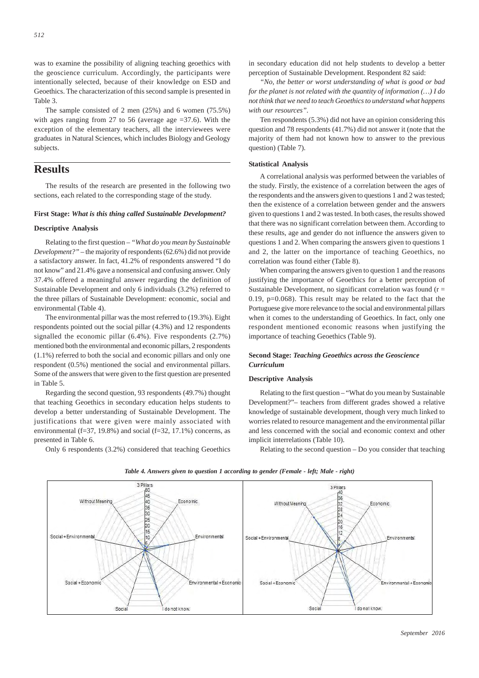was to examine the possibility of aligning teaching geoethics with the geoscience curriculum. Accordingly, the participants were intentionally selected, because of their knowledge on ESD and Geoethics. The characterization of this second sample is presented in Table 3.

The sample consisted of 2 men (25%) and 6 women (75.5%) with ages ranging from 27 to 56 (average age =37.6). With the exception of the elementary teachers, all the interviewees were graduates in Natural Sciences, which includes Biology and Geology subjects.

# **Results**

The results of the research are presented in the following two sections, each related to the corresponding stage of the study.

#### **First Stage:** *What is this thing called Sustainable Development?*

### **Descriptive Analysis**

Relating to the first question – *"What do you mean by Sustainable Development?"* – the majority of respondents (62.6%) did not provide a satisfactory answer. In fact, 41.2% of respondents answered "I do not know" and 21.4% gave a nonsensical and confusing answer. Only 37.4% offered a meaningful answer regarding the definition of Sustainable Development and only 6 individuals (3.2%) referred to the three pillars of Sustainable Development: economic, social and environmental (Table 4).

The environmental pillar was the most referred to (19.3%). Eight respondents pointed out the social pillar (4.3%) and 12 respondents signalled the economic pillar (6.4%). Five respondents (2.7%) mentioned both the environmental and economic pillars, 2 respondents (1.1%) referred to both the social and economic pillars and only one respondent (0.5%) mentioned the social and environmental pillars. Some of the answers that were given to the first question are presented in Table 5.

Regarding the second question*,* 93 respondents (49.7%) thought that teaching Geoethics in secondary education helps students to develop a better understanding of Sustainable Development. The justifications that were given were mainly associated with environmental (f=37, 19.8%) and social (f=32, 17.1%) concerns, as presented in Table 6.

Only 6 respondents (3.2%) considered that teaching Geoethics

in secondary education did not help students to develop a better perception of Sustainable Development. Respondent 82 said:

*"No, the better or worst understanding of what is good or bad for the planet is not related with the quantity of information (…) I do not think that we need to teach Geoethics to understand what happens with our resources".*

Ten respondents (5.3%) did not have an opinion considering this question and 78 respondents (41.7%) did not answer it (note that the majority of them had not known how to answer to the previous question) (Table 7).

#### **Statistical Analysis**

A correlational analysis was performed between the variables of the study. Firstly, the existence of a correlation between the ages of the respondents and the answers given to questions 1 and 2 was tested; then the existence of a correlation between gender and the answers given to questions 1 and 2 was tested. In both cases, the results showed that there was no significant correlation between them. According to these results, age and gender do not influence the answers given to questions 1 and 2. When comparing the answers given to questions 1 and 2, the latter on the importance of teaching Geoethics, no correlation was found either (Table 8).

When comparing the answers given to question 1 and the reasons justifying the importance of Geoethics for a better perception of Sustainable Development, no significant correlation was found  $(r =$ 0.19,  $p=0.068$ ). This result may be related to the fact that the Portuguese give more relevance to the social and environmental pillars when it comes to the understanding of Geoethics. In fact, only one respondent mentioned economic reasons when justifying the importance of teaching Geoethics (Table 9).

## **Second Stage:** *Teaching Geoethics across the Geoscience Curriculum*

#### **Descriptive Analysis**

Relating to the first question – "What do you mean by Sustainable Development?"*–* teachers from different grades showed a relative knowledge of sustainable development, though very much linked to worries related to resource management and the environmental pillar and less concerned with the social and economic context and other implicit interrelations (Table 10).

Relating to the second question – Do you consider that teaching



#### *Table 4. Answers given to question 1 according to gender (Female - left; Male - right)*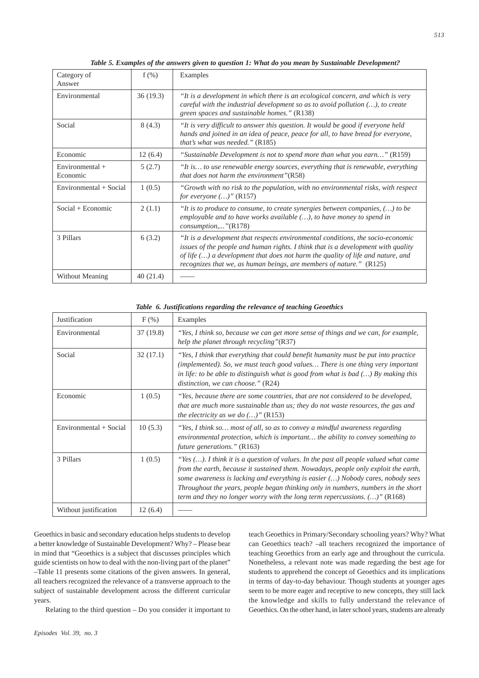| Category of<br>Answer         | $f(\%)$  | Examples                                                                                                                                                                                                                                                                                                                           |
|-------------------------------|----------|------------------------------------------------------------------------------------------------------------------------------------------------------------------------------------------------------------------------------------------------------------------------------------------------------------------------------------|
| Environmental                 | 36(19.3) | "It is a development in which there is an ecological concern, and which is very<br>careful with the industrial development so as to avoid pollution $()$ , to create<br>green spaces and sustainable homes." (R138)                                                                                                                |
| Social                        | 8(4.3)   | "It is very difficult to answer this question. It would be good if everyone held<br>hands and joined in an idea of peace, peace for all, to have bread for everyone,<br>that's what was needed." (R185)                                                                                                                            |
| Economic                      | 12(6.4)  | "Sustainable Development is not to spend more than what you earn" $(R159)$                                                                                                                                                                                                                                                         |
| Environmental $+$<br>Economic | 5(2.7)   | "It is to use renewable energy sources, everything that is renewable, everything<br>that does not harm the environment" $(R58)$                                                                                                                                                                                                    |
| Environmental + Social        | 1(0.5)   | "Growth with no risk to the population, with no environmental risks, with respect<br><i>for everyone</i> $()$ " (R157)                                                                                                                                                                                                             |
| $Social + Economic$           | 2(1.1)   | "It is to produce to consume, to create synergies between companies, $()$ to be<br>employable and to have works available $()$ , to have money to spend in<br>$consumption, \ldots$ "(R178)                                                                                                                                        |
| 3 Pillars                     | 6(3.2)   | "It is a development that respects environmental conditions, the socio-economic<br>issues of the people and human rights. I think that is a development with quality<br>of life $()$ a development that does not harm the quality of life and nature, and<br>recognizes that we, as human beings, are members of nature." $(R125)$ |
| Without Meaning               | 40(21.4) |                                                                                                                                                                                                                                                                                                                                    |

*Table 5. Examples of the answers given to question 1: What do you mean by Sustainable Development?*

#### *Table 6. Justifications regarding the relevance of teaching Geoethics*

| <b>Justification</b>   | $F(\%)$   | Examples                                                                                                                                                                                                                                                                                                                                                                                                                                |
|------------------------|-----------|-----------------------------------------------------------------------------------------------------------------------------------------------------------------------------------------------------------------------------------------------------------------------------------------------------------------------------------------------------------------------------------------------------------------------------------------|
| Environmental          | 37 (19.8) | "Yes, I think so, because we can get more sense of things and we can, for example,<br>help the planet through recycling"( $R37$ )                                                                                                                                                                                                                                                                                                       |
| Social                 | 32(17.1)  | "Yes, I think that everything that could benefit humanity must be put into practice<br>(implemented). So, we must teach good values There is one thing very important<br>in life: to be able to distinguish what is good from what is bad $()$ By making this<br>distinction, we can choose." $(R24)$                                                                                                                                   |
| Economic               | 1(0.5)    | "Yes, because there are some countries, that are not considered to be developed,<br>that are much more sustainable than us; they do not waste resources, the gas and<br>the electricity as we do $()$ " (R153)                                                                                                                                                                                                                          |
| Environmental + Social | 10(5.3)   | "Yes, I think so most of all, so as to convey a mindful awareness regarding<br>environmental protection, which is important the ability to convey something to<br><i>future generations.</i> " (R163)                                                                                                                                                                                                                                   |
| 3 Pillars              | 1(0.5)    | "Yes $()$ . I think it is a question of values. In the past all people valued what came<br>from the earth, because it sustained them. Nowadays, people only exploit the earth,<br>some awareness is lacking and everything is easier () Nobody cares, nobody sees<br>Throughout the years, people began thinking only in numbers, numbers in the short<br>term and they no longer worry with the long term repercussions. $()$ " (R168) |
| Without justification  | 12(6.4)   |                                                                                                                                                                                                                                                                                                                                                                                                                                         |

Geoethics in basic and secondary education helps students to develop a better knowledge of Sustainable Development? Why? – Please bear in mind that "Geoethics is a subject that discusses principles which guide scientists on how to deal with the non-living part of the planet" –Table 11 presents some citations of the given answers. In general, all teachers recognized the relevance of a transverse approach to the subject of sustainable development across the different curricular years.

Relating to the third question – Do you consider it important to

teach Geoethics in Primary/Secondary schooling years? Why? What can Geoethics teach? –all teachers recognized the importance of teaching Geoethics from an early age and throughout the curricula. Nonetheless, a relevant note was made regarding the best age for students to apprehend the concept of Geoethics and its implications in terms of day-to-day behaviour. Though students at younger ages seem to be more eager and receptive to new concepts, they still lack the knowledge and skills to fully understand the relevance of Geoethics. On the other hand, in later school years, students are already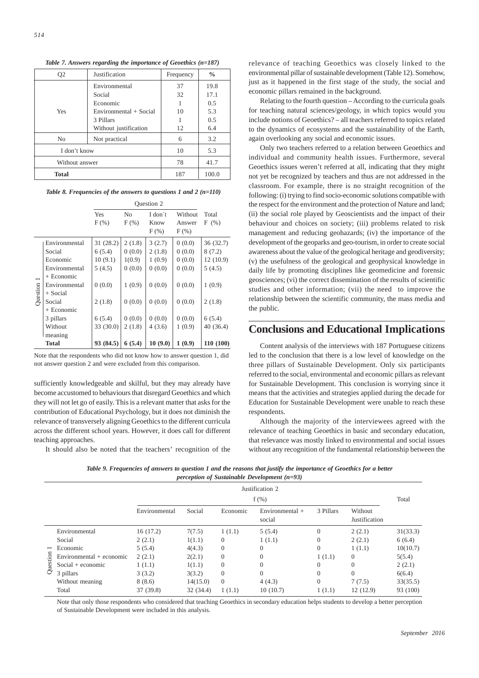| Q2             | Justification          | Frequency | $\frac{0}{0}$ |
|----------------|------------------------|-----------|---------------|
|                | Environmental          | 37        | 19.8          |
|                | Social                 | 32        | 17.1          |
|                | Economic               |           | 0.5           |
| Yes            | Environmental + Social | 10        | 5.3           |
|                | 3 Pillars              |           | 0.5           |
|                | Without justification  | 12        | 6.4           |
| No.            | Not practical          | 6         | 3.2           |
| I don't know   | 10                     | 5.3       |               |
| Without answer | 78                     | 41.7      |               |
| <b>Total</b>   |                        | 187       | 100.0         |

*Table 7. Answers regarding the importance of Geoethics (n=187)*

*Table 8. Frequencies of the answers to questions 1 and 2 (n=110)*

|                          |               |                |                           | Question 2                 |                              |               |
|--------------------------|---------------|----------------|---------------------------|----------------------------|------------------------------|---------------|
|                          |               | Yes<br>$F(\%)$ | N <sub>0</sub><br>$F(\%)$ | I don't<br>Know<br>$F$ (%) | Without<br>Answer<br>$F(\%)$ | Total<br>F(%) |
|                          | Environmental | 31 (28.2)      | 2(1.8)                    | 3(2.7)                     | 0(0.0)                       | 36(32.7)      |
|                          | Social        | 6(5.4)         | 0(0.0)                    | 2(1.8)                     | 0(0.0)                       | 8(7.2)        |
|                          | Economic      | 10(9.1)        | 1(0.9)                    | 1(0.9)                     | 0(0.0)                       | 12(10.9)      |
|                          | Environmental | 5(4.5)         | 0(0.0)                    | 0(0.0)                     | 0(0.0)                       | 5(4.5)        |
| $\overline{\phantom{0}}$ | + Economic    |                |                           |                            |                              |               |
|                          | Environmental | 0(0.0)         | 1(0.9)                    | 0(0.0)                     | 0(0.0)                       | 1(0.9)        |
| Question                 | + Social      |                |                           |                            |                              |               |
|                          | Social        | 2(1.8)         | 0(0.0)                    | 0(0.0)                     | 0(0.0)                       | 2(1.8)        |
|                          | + Economic    |                |                           |                            |                              |               |
|                          | 3 pillars     | 6(5.4)         | 0(0.0)                    | 0(0.0)                     | 0(0.0)                       | 6(5.4)        |
|                          | Without       | 33(30.0)       | 2(1.8)                    | 4(3.6)                     | 1(0.9)                       | 40 (36.4)     |
|                          | meaning       |                |                           |                            |                              |               |
|                          | <b>Total</b>  | 93 (84.5)      | 6(5.4)                    | 10(9.0)                    | 1(0.9)                       | 110 (100)     |

Note that the respondents who did not know how to answer question 1, did not answer question 2 and were excluded from this comparison.

sufficiently knowledgeable and skilful, but they may already have become accustomed to behaviours that disregard Geoethics and which they will not let go of easily. This is a relevant matter that asks for the contribution of Educational Psychology, but it does not diminish the relevance of transversely aligning Geoethics to the different curricula across the different school years. However, it does call for different teaching approaches.

It should also be noted that the teachers' recognition of the

relevance of teaching Geoethics was closely linked to the environmental pillar of sustainable development (Table 12). Somehow, just as it happened in the first stage of the study, the social and economic pillars remained in the background.

Relating to the fourth question – According to the curricula goals for teaching natural sciences/geology, in which topics would you include notions of Geoethics? – all teachers referred to topics related to the dynamics of ecosystems and the sustainability of the Earth, again overlooking any social and economic issues.

Only two teachers referred to a relation between Geoethics and individual and community health issues. Furthermore, several Geoethics issues weren't referred at all, indicating that they might not yet be recognized by teachers and thus are not addressed in the classroom. For example, there is no straight recognition of the following: (i) trying to find socio-economic solutions compatible with the respect for the environment and the protection of Nature and land; (ii) the social role played by Geoscientists and the impact of their behaviour and choices on society; (iii) problems related to risk management and reducing geohazards; (iv) the importance of the development of the geoparks and geo-tourism, in order to create social awareness about the value of the geological heritage and geodiversity; (v) the usefulness of the geological and geophysical knowledge in daily life by promoting disciplines like geomedicine and forensic geosciences; (vi) the correct dissemination of the results of scientific studies and other information; (vii) the need to improve the relationship between the scientific community, the mass media and the public.

# **Conclusions and Educational Implications**

Content analysis of the interviews with 187 Portuguese citizens led to the conclusion that there is a low level of knowledge on the three pillars of Sustainable Development. Only six participants referred to the social, environmental and economic pillars as relevant for Sustainable Development. This conclusion is worrying since it means that the activities and strategies applied during the decade for Education for Sustainable Development were unable to reach these respondents.

Although the majority of the interviewees agreed with the relevance of teaching Geoethics in basic and secondary education, that relevance was mostly linked to environmental and social issues without any recognition of the fundamental relationship between the

| Table 9. Frequencies of answers to question 1 and the reasons that justify the importance of Geoethics for a better |  |
|---------------------------------------------------------------------------------------------------------------------|--|
| <i>perception of Sustainable Development</i> $(n=93)$                                                               |  |

|                          |                            | Justification 2<br>$f(\%)$ |           |                |                             | Total          |                          |          |
|--------------------------|----------------------------|----------------------------|-----------|----------------|-----------------------------|----------------|--------------------------|----------|
|                          |                            | Environmental              | Social    | Economic       | Environmental $+$<br>social | 3 Pillars      | Without<br>Justification |          |
| $\overline{\phantom{a}}$ | Environmental              | 16(17.2)                   | 7(7.5)    | 1(1.1)         | 5(5.4)                      | $\overline{0}$ | 2(2.1)                   | 31(33.3) |
|                          | Social                     | 2(2.1)                     | 1(1.1)    | $\Omega$       | 1(1.1)                      | $\overline{0}$ | 2(2.1)                   | 6(6.4)   |
|                          | Economic                   | 5(5.4)                     | 4(4.3)    | $\theta$       | $\Omega$                    | $\overline{0}$ | 1(1.1)                   | 10(10.7) |
|                          | $Environmental + economic$ | 2(2.1)                     | 2(2.1)    | $\Omega$       | $\Omega$                    | 1(1.1)         | $\Omega$                 | 5(5.4)   |
| uestion                  | $Social + economic$        | 1(1.1)                     | 1(1.1)    | $\Omega$       | $\Omega$                    | $\overline{0}$ | $\Omega$                 | 2(2.1)   |
| $\circ$                  | 3 pillars                  | 3(3.2)                     | 3(3.2)    | $\Omega$       | $\Omega$                    | $\overline{0}$ | $\Omega$                 | 6(6.4)   |
|                          | Without meaning            | 8(8.6)                     | 14(15.0)  | $\overline{0}$ | 4(4.3)                      | $\overline{0}$ | 7(7.5)                   | 33(35.5) |
|                          | Total                      | 37 (39.8)                  | 32 (34.4) | 1(1.1)         | 10(10.7)                    | 1(1.1)         | 12(12.9)                 | 93 (100) |

Note that only those respondents who considered that teaching Geoethics in secondary education helps students to develop a better perception of Sustainable Development were included in this analysis.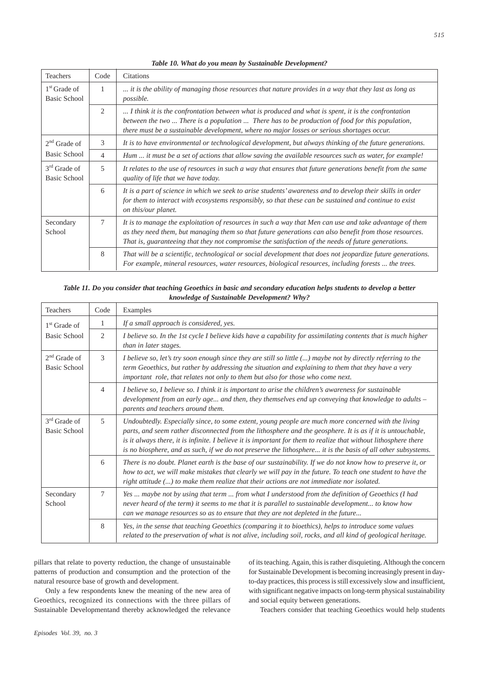| <b>Teachers</b>                | Code           | <b>Citations</b>                                                                                                                                                                                                                                                                                                         |
|--------------------------------|----------------|--------------------------------------------------------------------------------------------------------------------------------------------------------------------------------------------------------------------------------------------------------------------------------------------------------------------------|
| $1st$ Grade of<br>Basic School | 1              | it is the ability of managing those resources that nature provides in a way that they last as long as<br><i>possible.</i>                                                                                                                                                                                                |
|                                | 2              | I think it is the confrontation between what is produced and what is spent, it is the confrontation<br>between the two  There is a population  There has to be production of food for this population,<br>there must be a sustainable development, where no major losses or serious shortages occur.                     |
| $2nd$ Grade of                 | 3              | It is to have environmental or technological development, but always thinking of the future generations.                                                                                                                                                                                                                 |
| Basic School                   | $\overline{4}$ | Hum  it must be a set of actions that allow saving the available resources such as water, for example!                                                                                                                                                                                                                   |
| $3rd$ Grade of<br>Basic School | 5              | It relates to the use of resources in such a way that ensures that future generations benefit from the same<br>quality of life that we have today.                                                                                                                                                                       |
|                                | 6              | It is a part of science in which we seek to arise students' awareness and to develop their skills in order<br>for them to interact with ecosystems responsibly, so that these can be sustained and continue to exist<br>on this/our planet.                                                                              |
| Secondary<br>School            | 7              | It is to manage the exploitation of resources in such a way that Men can use and take advantage of them<br>as they need them, but managing them so that future generations can also benefit from those resources.<br>That is, guaranteeing that they not compromise the satisfaction of the needs of future generations. |
|                                | 8              | That will be a scientific, technological or social development that does not jeopardize future generations.<br>For example, mineral resources, water resources, biological resources, including forests  the trees.                                                                                                      |

*Table 10. What do you mean by Sustainable Development?*

## *Table 11. Do you consider that teaching Geoethics in basic and secondary education helps students to develop a better knowledge of Sustainable Development? Why?*

| <b>Teachers</b>                          | Code           | Examples                                                                                                                                                                                                                                                                                                                                                                                                                                              |
|------------------------------------------|----------------|-------------------------------------------------------------------------------------------------------------------------------------------------------------------------------------------------------------------------------------------------------------------------------------------------------------------------------------------------------------------------------------------------------------------------------------------------------|
| $1st$ Grade of                           | 1              | If a small approach is considered, yes.                                                                                                                                                                                                                                                                                                                                                                                                               |
| <b>Basic School</b>                      | 2              | I believe so. In the 1st cycle I believe kids have a capability for assimilating contents that is much higher<br>than in later stages.                                                                                                                                                                                                                                                                                                                |
| $2nd$ Grade of<br>Basic School           | $\mathcal{R}$  | I believe so, let's try soon enough since they are still so little $(\ldots)$ maybe not by directly referring to the<br>term Geoethics, but rather by addressing the situation and explaining to them that they have a very<br>important role, that relates not only to them but also for those who come next.                                                                                                                                        |
|                                          | $\overline{4}$ | I believe so, I believe so. I think it is important to arise the children's awareness for sustainable<br>development from an early age and then, they themselves end up conveying that knowledge to adults $-$<br>parents and teachers around them.                                                                                                                                                                                                   |
| 3 <sup>rd</sup> Grade of<br>Basic School | 5              | Undoubtedly. Especially since, to some extent, young people are much more concerned with the living<br>parts, and seem rather disconnected from the lithosphere and the geosphere. It is as if it is untouchable,<br>is it always there, it is infinite. I believe it is important for them to realize that without lithosphere there<br>is no biosphere, and as such, if we do not preserve the lithosphere it is the basis of all other subsystems. |
|                                          | 6              | There is no doubt. Planet earth is the base of our sustainability. If we do not know how to preserve it, or<br>how to act, we will make mistakes that clearly we will pay in the future. To teach one student to have the<br>right attitude $()$ to make them realize that their actions are not immediate nor isolated.                                                                                                                              |
| Secondary<br>School                      | 7              | Yes  maybe not by using that term  from what I understood from the definition of Geoethics (I had<br>never heard of the term) it seems to me that it is parallel to sustainable development to know how<br>can we manage resources so as to ensure that they are not depleted in the future                                                                                                                                                           |
|                                          | 8              | Yes, in the sense that teaching Geoethics (comparing it to bioethics), helps to introduce some values<br>related to the preservation of what is not alive, including soil, rocks, and all kind of geological heritage.                                                                                                                                                                                                                                |

pillars that relate to poverty reduction, the change of unsustainable patterns of production and consumption and the protection of the natural resource base of growth and development.

Only a few respondents knew the meaning of the new area of Geoethics, recognized its connections with the three pillars of Sustainable Developmentand thereby acknowledged the relevance of its teaching. Again, this is rather disquieting. Although the concern for Sustainable Development is becoming increasingly present in dayto-day practices, this process is still excessively slow and insufficient, with significant negative impacts on long-term physical sustainability and social equity between generations.

Teachers consider that teaching Geoethics would help students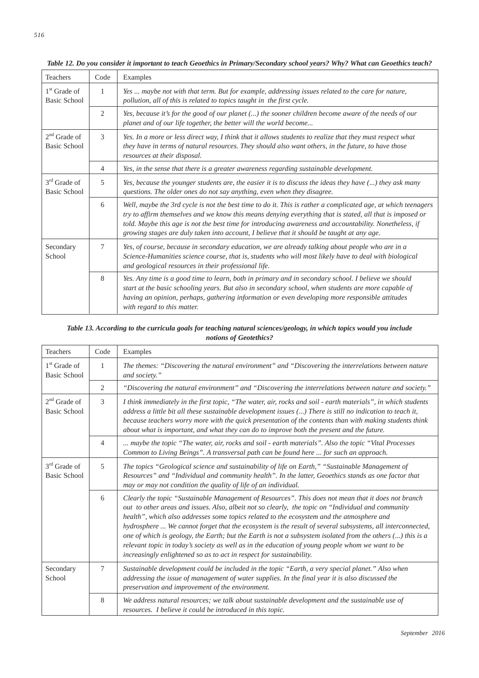| Teachers                                        | Code           | Examples                                                                                                                                                                                                                                                                                                                                                                                                                            |
|-------------------------------------------------|----------------|-------------------------------------------------------------------------------------------------------------------------------------------------------------------------------------------------------------------------------------------------------------------------------------------------------------------------------------------------------------------------------------------------------------------------------------|
| $1st$ Grade of<br><b>Basic School</b>           | 1              | Yes  maybe not with that term. But for example, addressing issues related to the care for nature,<br>pollution, all of this is related to topics taught in the first cycle.                                                                                                                                                                                                                                                         |
|                                                 | $\overline{2}$ | Yes, because it's for the good of our planet $()$ the sooner children become aware of the needs of our<br>planet and of our life together, the better will the world become                                                                                                                                                                                                                                                         |
| $2nd$ Grade of<br><b>Basic School</b>           | 3              | Yes. In a more or less direct way, I think that it allows students to realize that they must respect what<br>they have in terms of natural resources. They should also want others, in the future, to have those<br>resources at their disposal.                                                                                                                                                                                    |
|                                                 | 4              | Yes, in the sense that there is a greater awareness regarding sustainable development.                                                                                                                                                                                                                                                                                                                                              |
| 3 <sup>rd</sup> Grade of<br><b>Basic School</b> | 5              | Yes, because the younger students are, the easier it is to discuss the ideas they have $()$ they ask many<br>questions. The older ones do not say anything, even when they disagree.                                                                                                                                                                                                                                                |
|                                                 | 6              | Well, maybe the 3rd cycle is not the best time to do it. This is rather a complicated age, at which teenagers<br>try to affirm themselves and we know this means denying everything that is stated, all that is imposed or<br>told. Maybe this age is not the best time for introducing awareness and accountability. Nonetheless, if<br>growing stages are duly taken into account, I believe that it should be taught at any age. |
| Secondary<br>School                             | 7              | Yes, of course, because in secondary education, we are already talking about people who are in a<br>Science-Humanities science course, that is, students who will most likely have to deal with biological<br>and geological resources in their professional life.                                                                                                                                                                  |
|                                                 | 8              | Yes. Any time is a good time to learn, both in primary and in secondary school. I believe we should<br>start at the basic schooling years. But also in secondary school, when students are more capable of<br>having an opinion, perhaps, gathering information or even developing more responsible attitudes<br>with regard to this matter.                                                                                        |

*Table 12. Do you consider it important to teach Geoethics in Primary/Secondary school years? Why? What can Geoethics teach?*

## *Table 13. According to the curricula goals for teaching natural sciences/geology, in which topics would you include notions of Geotethics?*

| Teachers                              | Code           | Examples                                                                                                                                                                                                                                                                                                                                                                                                                                                                                                                                                                                                                                                                                                      |
|---------------------------------------|----------------|---------------------------------------------------------------------------------------------------------------------------------------------------------------------------------------------------------------------------------------------------------------------------------------------------------------------------------------------------------------------------------------------------------------------------------------------------------------------------------------------------------------------------------------------------------------------------------------------------------------------------------------------------------------------------------------------------------------|
| $1st$ Grade of<br><b>Basic School</b> | 1              | The themes: "Discovering the natural environment" and "Discovering the interrelations between nature<br>and society."                                                                                                                                                                                                                                                                                                                                                                                                                                                                                                                                                                                         |
|                                       | 2              | "Discovering the natural environment" and "Discovering the interrelations between nature and society."                                                                                                                                                                                                                                                                                                                                                                                                                                                                                                                                                                                                        |
| $2nd$ Grade of<br><b>Basic School</b> | 3              | I think immediately in the first topic, "The water, air, rocks and soil - earth materials", in which students<br>address a little bit all these sustainable development issues () There is still no indication to teach it,<br>because teachers worry more with the quick presentation of the contents than with making students think<br>about what is important, and what they can do to improve both the present and the future.                                                                                                                                                                                                                                                                           |
|                                       | $\overline{4}$ | maybe the topic "The water, air, rocks and soil - earth materials". Also the topic "Vital Processes"<br>Common to Living Beings". A transversal path can be found here  for such an approach.                                                                                                                                                                                                                                                                                                                                                                                                                                                                                                                 |
| $3rd$ Grade of<br>Basic School        | 5              | The topics "Geological science and sustainability of life on Earth," "Sustainable Management of<br>Resources" and "Individual and community health". In the latter, Geoethics stands as one factor that<br>may or may not condition the quality of life of an individual.                                                                                                                                                                                                                                                                                                                                                                                                                                     |
|                                       | 6              | Clearly the topic "Sustainable Management of Resources". This does not mean that it does not branch<br>out to other areas and issues. Also, albeit not so clearly, the topic on "Individual and community<br>health", which also addresses some topics related to the ecosystem and the atmosphere and<br>hydrosphere  We cannot forget that the ecosystem is the result of several subsystems, all interconnected,<br>one of which is geology, the Earth; but the Earth is not a subsystem isolated from the others () this is a<br>relevant topic in today's society as well as in the education of young people whom we want to be<br>increasingly enlightened so as to act in respect for sustainability. |
| Secondary<br>School                   | $\tau$         | Sustainable development could be included in the topic "Earth, a very special planet." Also when<br>addressing the issue of management of water supplies. In the final year it is also discussed the<br>preservation and improvement of the environment.                                                                                                                                                                                                                                                                                                                                                                                                                                                      |
|                                       | 8              | We address natural resources; we talk about sustainable development and the sustainable use of<br>resources. I believe it could be introduced in this topic.                                                                                                                                                                                                                                                                                                                                                                                                                                                                                                                                                  |